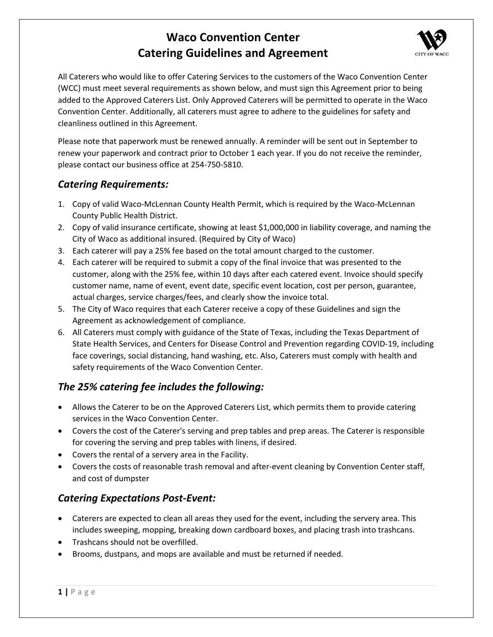# **Waco Convention Center Catering Guidelines and Agreement**



All Caterers who would like to offer Catering Services to the customers of the Waco Convention Center (WCC) must meet several requirements as shown below, and must sign this Agreement prior to being added to the Approved Caterers List. Only Approved Caterers will be permitted to operate in the Waco Convention Center. Additionally, all caterers must agree to adhere to the guidelines for safety and cleanliness outlined in this Agreement.

Please note that paperwork must be renewed annually. A reminder will be sent out in September to renew your paperwork and contract prior to October 1 each year. If you do not receive the reminder, please contact our business office at 254-750-5810.

#### *Catering Requirements:*

- 1. Copy of valid Waco-McLennan County Health Permit, which is required by the Waco-McLennan County Public Health District.
- 2. Copy of valid insurance certificate, showing at least \$1,000,000 in liability coverage, and naming the City of Waco as additional insured. (Required by City of Waco)
- 3. Each caterer will pay a 25% fee based on the total amount charged to the customer.
- 4. Each caterer will be required to submit a copy of the final invoice that was presented to the customer, along with the 25% fee, within 10 days after each catered event. Invoice should specify customer name, name of event, event date, specific event location, cost per person, guarantee, actual charges, service charges/fees, and clearly show the invoice total.
- 5. The City of Waco requires that each Caterer receive a copy of these Guidelines and sign the Agreement as acknowledgement of compliance.
- 6. All Caterers must comply with guidance of the State of Texas, including the Texas Department of State Health Services, and Centers for Disease Control and Prevention regarding COVID-19, including face coverings, social distancing, hand washing, etc. Also, Caterers must comply with health and safety requirements of the Waco Convention Center.

## *The 25% catering fee includes the following:*

- Allows the Caterer to be on the Approved Caterers List, which permits them to provide catering services in the Waco Convention Center.
- Covers the cost of the Caterer's serving and prep tables and prep areas. The Caterer is responsible for covering the serving and prep tables with linens, if desired.
- Covers the rental of a servery area in the Facility.
- Covers the costs of reasonable trash removal and after-event cleaning by Convention Center staff, and cost of dumpster

#### *Catering Expectations Post-Event:*

- Caterers are expected to clean all areas they used for the event, including the servery area. This includes sweeping, mopping, breaking down cardboard boxes, and placing trash into trashcans.
- Trashcans should not be overfilled.
- Brooms, dustpans, and mops are available and must be returned if needed.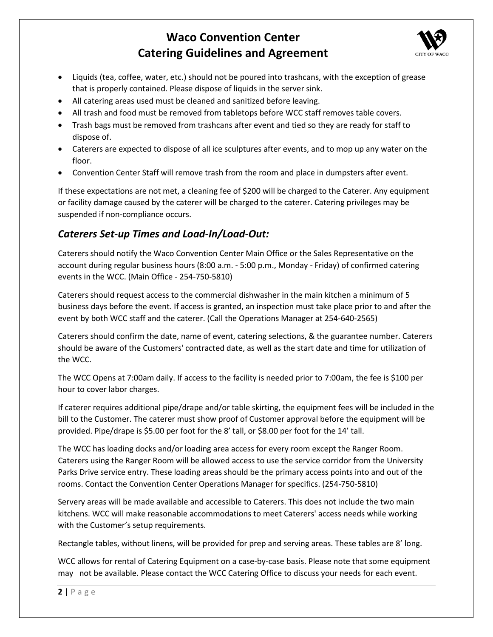# **Waco Convention Center Catering Guidelines and Agreement**



- Liquids (tea, coffee, water, etc.) should not be poured into trashcans, with the exception of grease that is properly contained. Please dispose of liquids in the server sink.
- All catering areas used must be cleaned and sanitized before leaving.
- All trash and food must be removed from tabletops before WCC staff removes table covers.
- Trash bags must be removed from trashcans after event and tied so they are ready for staff to dispose of.
- Caterers are expected to dispose of all ice sculptures after events, and to mop up any water on the floor.
- Convention Center Staff will remove trash from the room and place in dumpsters after event.

If these expectations are not met, a cleaning fee of \$200 will be charged to the Caterer. Any equipment or facility damage caused by the caterer will be charged to the caterer. Catering privileges may be suspended if non-compliance occurs.

### *Caterers Set-up Times and Load-In/Load-Out:*

Caterers should notify the Waco Convention Center Main Office or the Sales Representative on the account during regular business hours (8:00 a.m. - 5:00 p.m., Monday - Friday) of confirmed catering events in the WCC. (Main Office - 254-750-5810)

Caterers should request access to the commercial dishwasher in the main kitchen a minimum of 5 business days before the event. If access is granted, an inspection must take place prior to and after the event by both WCC staff and the caterer. (Call the Operations Manager at 254-640-2565)

Caterers should confirm the date, name of event, catering selections, & the guarantee number. Caterers should be aware of the Customers' contracted date, as well as the start date and time for utilization of the WCC.

The WCC Opens at 7:00am daily. If access to the facility is needed prior to 7:00am, the fee is \$100 per hour to cover labor charges.

If caterer requires additional pipe/drape and/or table skirting, the equipment fees will be included in the bill to the Customer. The caterer must show proof of Customer approval before the equipment will be provided. Pipe/drape is \$5.00 per foot for the 8' tall, or \$8.00 per foot for the 14' tall.

The WCC has loading docks and/or loading area access for every room except the Ranger Room. Caterers using the Ranger Room will be allowed access to use the service corridor from the University Parks Drive service entry. These loading areas should be the primary access points into and out of the rooms. Contact the Convention Center Operations Manager for specifics. (254-750-5810)

Servery areas will be made available and accessible to Caterers. This does not include the two main kitchens. WCC will make reasonable accommodations to meet Caterers' access needs while working with the Customer's setup requirements.

Rectangle tables, without linens, will be provided for prep and serving areas. These tables are 8' long.

WCC allows for rental of Catering Equipment on a case-by-case basis. Please note that some equipment may not be available. Please contact the WCC Catering Office to discuss your needs for each event.